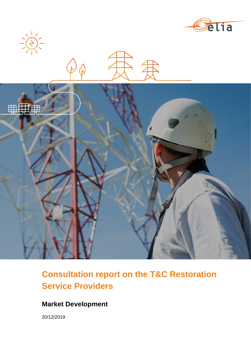

**Consultation report on the T&C Restoration Service Providers**

# **Market Development**

20/12/2019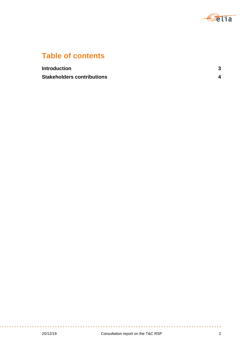

# **Table of contents**

| <b>Introduction</b>               | ◠ |
|-----------------------------------|---|
| <b>Stakeholders contributions</b> |   |

**COL** 

and a sta

÷

a a s

 $\sim$   $\sim$ 

. . . . . . . . . . . . . . .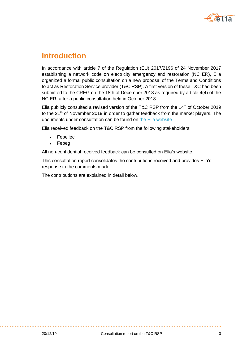

# **Introduction**

In accordance with article 7 of the Regulation (EU) 2017/2196 of 24 November 2017 establishing a network code on electricity emergency and restoration (NC ER), Elia organized a formal public consultation on a new proposal of the Terms and Conditions to act as Restoration Service provider (T&C RSP). A first version of these T&C had been submitted to the CREG on the 18th of December 2018 as required by article 4(4) of the NC ER, after a public consultation held in October 2018.

Elia publicly consulted a revised version of the T&C RSP from the 14<sup>th</sup> of October 2019 to the  $21<sup>th</sup>$  of November 2019 in order to gather feedback from the market players. The documents under consultation can be found on [the Elia website](https://www.elia.be/en/public-consultation/20191014-two-public-consultations-in-the-framework-of-the-network-code-on-emergency-and-restoration)

Elia received feedback on the T&C RSP from the following stakeholders:

- Febeliec
- Febeg

All non-confidential received feedback can be consulted on Elia's website.

This consultation report consolidates the contributions received and provides Elia's response to the comments made.

The contributions are explained in detail below.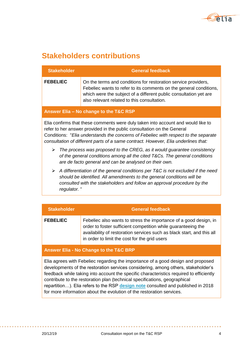

# **Stakeholders contributions**

| <b>Stakeholder</b> | <b>General feedback</b>                                                                                                                                                                                                                                  |
|--------------------|----------------------------------------------------------------------------------------------------------------------------------------------------------------------------------------------------------------------------------------------------------|
| <b>FEBELIEC</b>    | On the terms and conditions for restoration service providers,<br>Febeliec wants to refer to its comments on the general conditions,<br>which were the subject of a different public consultation yet are<br>also relevant related to this consultation. |

#### **Answer Elia – No change to the T&C RSP**

Elia confirms that these comments were duly taken into account and would like to refer to her answer provided in the public consultation on the General Conditions: "*Elia understands the concerns of Febeliec with respect to the separate consultation of different parts of a same contract. However, Elia underlines that:*

- *The process was proposed to the CREG, as it would guarantee consistency of the general conditions among all the cited T&Cs. The general conditions are de facto general and can be analysed on their own.*
- *A differentiation of the general conditions per T&C is not excluded if the need should be identified. All amendments to the general conditions will be consulted with the stakeholders and follow an approval procedure by the regulator.* "

| <b>Stakeholder</b> | <b>General feedback</b>                                                                                                                                                                                                                                       |
|--------------------|---------------------------------------------------------------------------------------------------------------------------------------------------------------------------------------------------------------------------------------------------------------|
| <b>FEBELIEC</b>    | Febeliec also wants to stress the importance of a good design, in<br>order to foster sufficient competition while guaranteeing the<br>availability of restoration services such as black start, and this all<br>in order to limit the cost for the grid users |

## **Answer Elia - No Change to the T&C BRP**

Elia agrees with Febeliec regarding the importance of a good design and proposed developments of the restoration services considering, among others, stakeholder's feedback while taking into account the specific characteristics required to efficiently contribute to the restoration plan (technical specifications, geographical repartition…). Elia refers to the RSP **[design note](https://www.elia.be/en/public-consultation/20181005-review-of-the-black-start-ancillary-service)** consulted and published in 2018 for more information about the evolution of the restoration services.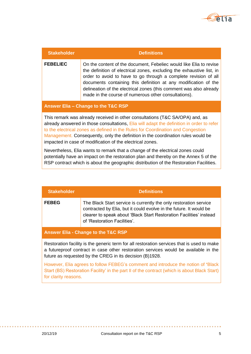

| <b>Stakeholder</b>                                                                                                                                                                                                                                                                                                                                                                                            | <b>Definitions</b>                                                                                                                                                                                                                                                                                                                                                                                              |
|---------------------------------------------------------------------------------------------------------------------------------------------------------------------------------------------------------------------------------------------------------------------------------------------------------------------------------------------------------------------------------------------------------------|-----------------------------------------------------------------------------------------------------------------------------------------------------------------------------------------------------------------------------------------------------------------------------------------------------------------------------------------------------------------------------------------------------------------|
| <b>FEBELIEC</b>                                                                                                                                                                                                                                                                                                                                                                                               | On the content of the document, Febeliec would like Elia to revise<br>the definition of electrical zones, excluding the exhaustive list, in<br>order to avoid to have to go through a complete revision of all<br>documents containing this definition at any modification of the<br>delineation of the electrical zones (this comment was also already<br>made in the course of numerous other consultations). |
|                                                                                                                                                                                                                                                                                                                                                                                                               | Answer Elia - Change to the T&C RSP                                                                                                                                                                                                                                                                                                                                                                             |
| This remark was already received in other consultations (T&C SA/OPA) and, as<br>already answered in those consultations, Elia will adapt the definition in order to refer<br>to the electrical zones as defined in the Rules for Coordination and Congestion<br>Management. Consequently, only the definition in the coordination rules would be<br>impacted in case of modification of the electrical zones. |                                                                                                                                                                                                                                                                                                                                                                                                                 |
| Nevertheless, Elia wants to remark that a change of the electrical zones could<br>potentially have an impact on the restoration plan and thereby on the Annex 5 of the<br>RSP contract which is about the geographic distribution of the Restoration Facilities.                                                                                                                                              |                                                                                                                                                                                                                                                                                                                                                                                                                 |

| <b>Stakeholder</b>                                                                                                                                                                                                                            | <b>Definitions</b>                                                                                                                                                                                                                             |
|-----------------------------------------------------------------------------------------------------------------------------------------------------------------------------------------------------------------------------------------------|------------------------------------------------------------------------------------------------------------------------------------------------------------------------------------------------------------------------------------------------|
| <b>FEBEG</b>                                                                                                                                                                                                                                  | The Black Start service is currently the only restoration service<br>contracted by Elia, but it could evolve in the future. It would be<br>clearer to speak about 'Black Start Restoration Facilities' instead<br>of 'Restoration Facilities'. |
|                                                                                                                                                                                                                                               | <b>Answer Elia - Change to the T&amp;C RSP</b>                                                                                                                                                                                                 |
| Restoration facility is the generic term for all restoration services that is used to make<br>a futureproof contract in case other restoration services would be available in the<br>future as requested by the CREG in its decision (B)1928. |                                                                                                                                                                                                                                                |
| However, Elia agrees to follow FEBEG's comment and introduce the notion of 'Black<br>Start (BS) Restoration Facility' in the part II of the contract (which is about Black Start)<br>for clarity reasons.                                     |                                                                                                                                                                                                                                                |

**COL** 

 $2.12 - 1.02$ 

 $\sim$ 

 $\alpha$  ,  $\alpha$  ,  $\alpha$  ,  $\alpha$ 

. . . . . . . . . . . . . .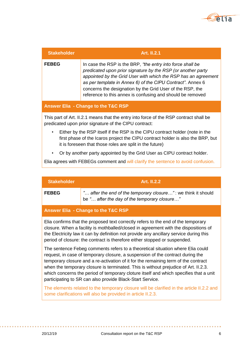

| <b>Stakeholder</b>                                                                                                                                                                                                               | <b>Art. II.2.1</b>                                                                                                                                                                                                                                                                                                                                                                    |  |
|----------------------------------------------------------------------------------------------------------------------------------------------------------------------------------------------------------------------------------|---------------------------------------------------------------------------------------------------------------------------------------------------------------------------------------------------------------------------------------------------------------------------------------------------------------------------------------------------------------------------------------|--|
| <b>FEBEG</b>                                                                                                                                                                                                                     | In case the RSP is the BRP, "the entry into force shall be<br>predicated upon prior signature by the RSP (or another party<br>appointed by the Grid User with which the RSP has an agreement<br>as per template in Annex 6) of the CIPU Contract". Annex 6<br>concerns the designation by the Grid User of the RSP, the<br>reference to this annex is confusing and should be removed |  |
|                                                                                                                                                                                                                                  | Answer Elia - Change to the T&C RSP                                                                                                                                                                                                                                                                                                                                                   |  |
|                                                                                                                                                                                                                                  | This part of Art. II.2.1 means that the entry into force of the RSP contract shall be<br>predicated upon prior signature of the CIPU contract:                                                                                                                                                                                                                                        |  |
| Either by the RSP itself if the RSP is the CIPU contract holder (note in the<br>٠<br>first phase of the Icaros project the CIPU contract holder is also the BRP, but<br>it is foreseen that those roles are split in the future) |                                                                                                                                                                                                                                                                                                                                                                                       |  |
| ٠                                                                                                                                                                                                                                | Or by another party appointed by the Grid User as CIPU contract holder.                                                                                                                                                                                                                                                                                                               |  |
| Elia agrees with FEBEGs comment and will clarify the sentence to avoid confusion.                                                                                                                                                |                                                                                                                                                                                                                                                                                                                                                                                       |  |
|                                                                                                                                                                                                                                  |                                                                                                                                                                                                                                                                                                                                                                                       |  |
| <b>Stakeholder</b>                                                                                                                                                                                                               | <b>Art. II.2.2</b>                                                                                                                                                                                                                                                                                                                                                                    |  |
| <b>FEBEG</b>                                                                                                                                                                                                                     | " after the end of the temporary closure": we think it should<br>be " after the day of the temporary closure"                                                                                                                                                                                                                                                                         |  |

#### **Answer Elia - Change to the T&C RSP**

Elia confirms that the proposed text correctly refers to the end of the temporary closure. When a facility is mothballed/closed in agreement with the dispositions of the Electricity law it can by definition not provide any ancillary service during this period of closure: the contract is therefore either stopped or suspended.

The sentence Febeg comments refers to a theoretical situation where Elia could request, in case of temporary closure, a suspension of the contract during the temporary closure and a re-activation of it for the remaining term of the contract when the temporary closure is terminated. This is without prejudice of Art. II.2.3. which concerns the period of temporary cloture itself and which specifies that a unit participating to SR can also provide Black-Start Service.

The elements related to the temporary closure will be clarified in the article II.2.2 and some clarifications will also be provided in article II.2.3.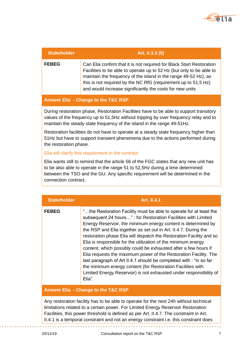

| <b>Stakeholder</b> | Art. II.3.3 (5)                                                                                                                                                                                                                                                                                                                               |
|--------------------|-----------------------------------------------------------------------------------------------------------------------------------------------------------------------------------------------------------------------------------------------------------------------------------------------------------------------------------------------|
| <b>FEBEG</b>       | Can Elia confirm that it is not required for Black Start Restoration<br>Facilities to be able to operate up to 52 Hz (but only to be able to<br>maintain the frequency of the island in the range 49-52 Hz), as<br>this is not required by the NC RfG (requirement up to 51,5 Hz)<br>and would increase significantly the costs for new units |

#### **Answer Elia - Change to the T&C RSP**

During restoration phase, Restoration Facilities have to be able to support transitory values of the frequency up to 51,5Hz without tripping by over frequency relay and to maintain the steady state frequency of the island in the range 49-51Hz.

Restoration facilities do not have to operate at a steady state frequency higher than 51Hz but have to support transient phenomena due to the actions performed during the restoration phase.

Elia will clarify this requirement in the contract.

Elia wants still to remind that the article 56 of the FGC states that any new unit has to be also able to operate in the range 51 to 52,5Hz during a time determined between the TSO and the GU. Any specific requirement will be determined in the connection contract.

| <b>Stakeholder</b> | <b>Art. II.4.1</b>                                                                                                                                                                                                                                                                                                                                                                                                                                                                                                                                                                                                                                                                                                                                                            |
|--------------------|-------------------------------------------------------------------------------------------------------------------------------------------------------------------------------------------------------------------------------------------------------------------------------------------------------------------------------------------------------------------------------------------------------------------------------------------------------------------------------------------------------------------------------------------------------------------------------------------------------------------------------------------------------------------------------------------------------------------------------------------------------------------------------|
| <b>FEBEG</b>       | "the Restoration Facility must be able to operate for at least the<br>subsequent 24 hours" : for Restoration Facilities with Limited<br>Energy Reservoir, the minimum energy content is determined by<br>the RSP and Elia together as set out in Art. II.4.7. During the<br>restoration phase Elia will dispatch the Restoration Facility and so<br>Elia is responsible for the utilization of the minimum energy<br>content, which possibly could be exhausted after a few hours if<br>Elia requests the maximum power of the Restoration Facility. The<br>last paragraph of Art II.4.1 should be completed with : "in so far<br>the minimum energy content (for Restoration Facilities with<br>Limited Energy Reservoir) is not exhausted under responsibility of<br>Elia". |

### **Answer Elia - Change to the T&C RSP**

Any restoration facility has to be able to operate for the next 24h without technical limitations related to a certain power. For Limited Energy Reservoir Restoration Facilities, this power threshold is defined as per Art. II.4.7. The constraint in Art. II.4.1 is a temporal constraint and not an energy constraint i.e. this constraint does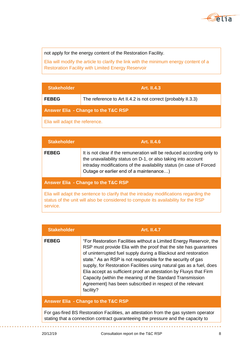

not apply for the energy content of the Restoration Facility.

Elia will modify the article to clarify the link with the minimum energy content of a Restoration Facility with Limited Energy Reservoir

| <b>Stakeholder</b>                  | <b>Art. II.4.3</b>                                           |
|-------------------------------------|--------------------------------------------------------------|
| <b>FEBEG</b>                        | The reference to Art II.4.2 is not correct (probably II.3.3) |
| Answer Elia - Change to the T&C RSP |                                                              |
| Elia will adapt the reference.      |                                                              |

| <b>Stakeholder</b>                  | <b>Art. II.4.6</b>                                                                                                                                                                                                                                        |
|-------------------------------------|-----------------------------------------------------------------------------------------------------------------------------------------------------------------------------------------------------------------------------------------------------------|
| <b>FEBEG</b>                        | It is not clear if the remuneration will be reduced according only to<br>the unavailability status on D-1, or also taking into account<br>intraday modifications of the availability status (in case of Forced<br>Outage or earlier end of a maintenance) |
| Answer Elia - Change to the T&C RSP |                                                                                                                                                                                                                                                           |
|                                     | Elia will adapt the sentence to clarify that the intraday modifications regarding the                                                                                                                                                                     |

status of the unit will also be considered to compute its availability for the RSP service.

| <b>Stakeholder</b> | <b>Art. II.4.7</b>                                                                                                                                                                                                                                                                                                                                                                                                                                                                                                                                              |
|--------------------|-----------------------------------------------------------------------------------------------------------------------------------------------------------------------------------------------------------------------------------------------------------------------------------------------------------------------------------------------------------------------------------------------------------------------------------------------------------------------------------------------------------------------------------------------------------------|
| <b>FEBEG</b>       | "For Restoration Facilities without a Limited Energy Reservoir, the<br>RSP must provide Elia with the proof that the site has guarantees<br>of uninterrupted fuel supply during a Blackout and restoration<br>state." As an RSP is not responsible for the security of gas<br>supply, for Restoration Facilities using natural gas as a fuel, does<br>Elia accept as sufficient proof an attestation by Fluxys that Firm<br>Capacity (within the meaning of the Standard Transmission<br>Agreement) has been subscribed in respect of the relevant<br>facility? |
|                    | Answer Elia - Change to the T&C RSP                                                                                                                                                                                                                                                                                                                                                                                                                                                                                                                             |
|                    | For gas-fired BS Restoration Facilities, an attestation from the gas system operator<br>stating that a connection contract guaranteeing the pressure and the capacity to                                                                                                                                                                                                                                                                                                                                                                                        |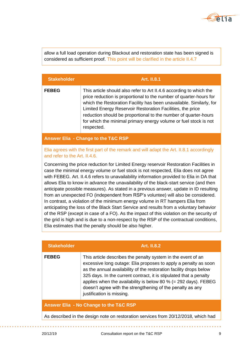

allow a full load operation during Blackout and restoration state has been signed is considered as sufficient proof. This point will be clarified in the article II.4.7

| <b>Stakeholder</b> | <b>Art. II.8.1</b>                                                                                                                                                                                                                                                                                                                                                                                                                  |
|--------------------|-------------------------------------------------------------------------------------------------------------------------------------------------------------------------------------------------------------------------------------------------------------------------------------------------------------------------------------------------------------------------------------------------------------------------------------|
| <b>FEBEG</b>       | This article should also refer to Art II.4.6 according to which the<br>price reduction is proportional to the number of quarter-hours for<br>which the Restoration Facility has been unavailable. Similarly, for<br>Limited Energy Reservoir Restoration Facilities, the price<br>reduction should be proportional to the number of quarter-hours<br>for which the minimal primary energy volume or fuel stock is not<br>respected. |

**Answer Elia - Change to the T&C RSP**

### Elia agrees with the first part of the remark and will adapt the Art. II.8.1 accordingly and refer to the Art. II.4.6.

Concerning the price reduction for Limited Energy reservoir Restoration Facilities in case the minimal energy volume or fuel stock is not respected, Elia does not agree with FEBEG. Art. II.4.6 refers to unavailability information provided to Elia in DA that allows Elia to know in advance the unavailability of the black-start service (and then anticipate possible measures). As stated in a previous answer, update in ID resulting from an unexpected FO (independent from RSP's voluntee) will also be considered. In contrast, a violation of the minimum energy volume in RT hampers Elia from anticipating the loss of the Black Start Service and results from a voluntary behavior of the RSP (except in case of a FO). As the impact of this violation on the security of the grid is high and is due to a non-respect by the RSP of the contractual conditions, Elia estimates that the penalty should be also higher.

| <b>Stakeholder</b>                                                                 | <b>Art. II.8.2</b>                                                                                                                                                                                                                                                                                                                                                                                                                        |
|------------------------------------------------------------------------------------|-------------------------------------------------------------------------------------------------------------------------------------------------------------------------------------------------------------------------------------------------------------------------------------------------------------------------------------------------------------------------------------------------------------------------------------------|
| <b>FEBEG</b>                                                                       | This article describes the penalty system in the event of an<br>excessive long outage: Elia proposes to apply a penalty as soon<br>as the annual availability of the restoration facility drops below<br>325 days. In the current contract, it is stipulated that a penalty<br>applies when the availability is below 80 % (= 292 days). FEBEG<br>doesn't agree with the strengthening of the penalty as any<br>justification is missing. |
| Answer Elia - No Change to the T&C RSP                                             |                                                                                                                                                                                                                                                                                                                                                                                                                                           |
| As described in the design note on restoration services from 20/12/2018, which had |                                                                                                                                                                                                                                                                                                                                                                                                                                           |